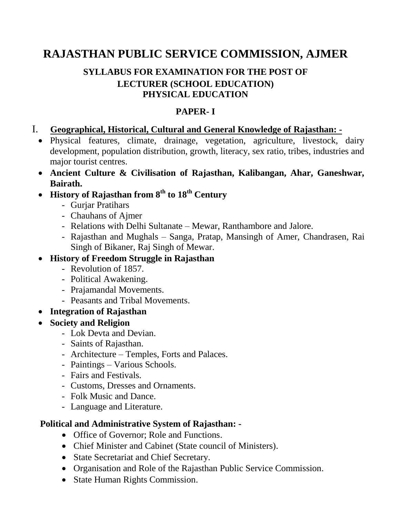# **RAJASTHAN PUBLIC SERVICE COMMISSION, AJMER**

## **SYLLABUS FOR EXAMINATION FOR THE POST OF LECTURER (SCHOOL EDUCATION) PHYSICAL EDUCATION**

#### **PAPER- I**

#### I. **Geographical, Historical, Cultural and General Knowledge of Rajasthan: -**

- Physical features, climate, drainage, vegetation, agriculture, livestock, dairy development, population distribution, growth, literacy, sex ratio, tribes, industries and major tourist centres.
- **Ancient Culture & Civilisation of Rajasthan, Kalibangan, Ahar, Ganeshwar, Bairath.**
- **History of Rajasthan from 8th to 18th Century**
	- Gurjar Pratihars
	- Chauhans of Ajmer
	- Relations with Delhi Sultanate Mewar, Ranthambore and Jalore.
	- Rajasthan and Mughals Sanga, Pratap, Mansingh of Amer, Chandrasen, Rai Singh of Bikaner, Raj Singh of Mewar.

# **History of Freedom Struggle in Rajasthan**

- Revolution of 1857.
- Political Awakening.
- Prajamandal Movements.
- Peasants and Tribal Movements.
- **Integration of Rajasthan**
- **Society and Religion**
	- Lok Devta and Devian.
	- Saints of Rajasthan.
	- Architecture Temples, Forts and Palaces.
	- Paintings Various Schools.
	- Fairs and Festivals.
	- Customs, Dresses and Ornaments.
	- Folk Music and Dance.
	- Language and Literature.

## **Political and Administrative System of Rajasthan: -**

- Office of Governor; Role and Functions.
- Chief Minister and Cabinet (State council of Ministers).
- State Secretariat and Chief Secretary.
- Organisation and Role of the Rajasthan Public Service Commission.
- State Human Rights Commission.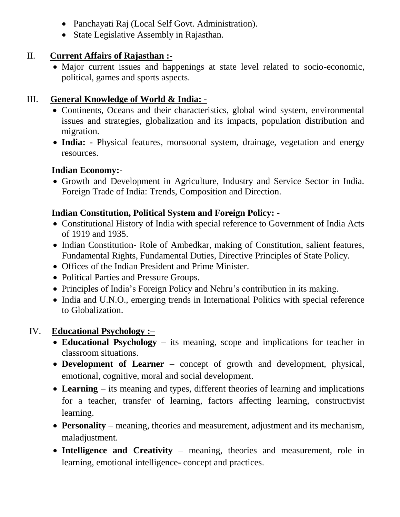- Panchayati Raj (Local Self Govt. Administration).
- State Legislative Assembly in Rajasthan.

#### II. **Current Affairs of Rajasthan :-**

 Major current issues and happenings at state level related to socio-economic, political, games and sports aspects.

# III. **General Knowledge of World & India: -**

- Continents, Oceans and their characteristics, global wind system, environmental issues and strategies, globalization and its impacts, population distribution and migration.
- **India: -** Physical features, monsoonal system, drainage, vegetation and energy resources.

## **Indian Economy:-**

 Growth and Development in Agriculture, Industry and Service Sector in India. Foreign Trade of India: Trends, Composition and Direction.

# **Indian Constitution, Political System and Foreign Policy: -**

- Constitutional History of India with special reference to Government of India Acts of 1919 and 1935.
- Indian Constitution- Role of Ambedkar, making of Constitution, salient features, Fundamental Rights, Fundamental Duties, Directive Principles of State Policy.
- Offices of the Indian President and Prime Minister.
- Political Parties and Pressure Groups.
- Principles of India's Foreign Policy and Nehru's contribution in its making.
- India and U.N.O., emerging trends in International Politics with special reference to Globalization.

# IV. **Educational Psychology :–**

- **Educational Psychology**  its meaning, scope and implications for teacher in classroom situations.
- **Development of Learner**  concept of growth and development, physical, emotional, cognitive, moral and social development.
- **Learning**  its meaning and types, different theories of learning and implications for a teacher, transfer of learning, factors affecting learning, constructivist learning.
- **Personality**  meaning, theories and measurement, adjustment and its mechanism, maladjustment.
- Intelligence and Creativity meaning, theories and measurement, role in learning, emotional intelligence- concept and practices.